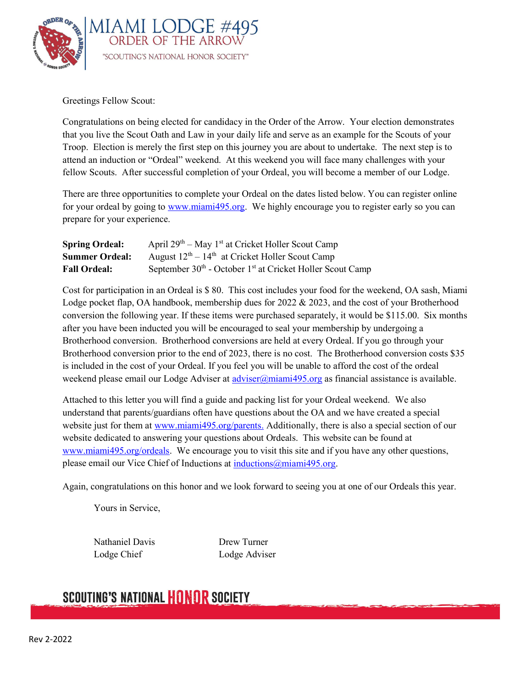

Greetings Fellow Scout:

Congratulations on being elected for candidacy in the Order of the Arrow. Your election demonstrates that you live the Scout Oath and Law in your daily life and serve as an example for the Scouts of your Troop. Election is merely the first step on this journey you are about to undertake. The next step is to attend an induction or "Ordeal" weekend. At this weekend you will face many challenges with your fellow Scouts. After successful completion of your Ordeal, you will become a member of our Lodge.

There are three opportunities to complete your Ordeal on the dates listed below. You can register online for your ordeal by going to www.miami495.org. We highly encourage you to register early so you can prepare for your experience.

| <b>Spring Ordeal:</b> | April $29th - May 1st$ at Cricket Holler Scout Camp                               |
|-----------------------|-----------------------------------------------------------------------------------|
| <b>Summer Ordeal:</b> | August $12th - 14th$ at Cricket Holler Scout Camp                                 |
| <b>Fall Ordeal:</b>   | September 30 <sup>th</sup> - October 1 <sup>st</sup> at Cricket Holler Scout Camp |

Cost for participation in an Ordeal is \$ 80. This cost includes your food for the weekend, OA sash, Miami Lodge pocket flap, OA handbook, membership dues for 2022 & 2023, and the cost of your Brotherhood conversion the following year. If these items were purchased separately, it would be \$115.00. Six months after you have been inducted you will be encouraged to seal your membership by undergoing a Brotherhood conversion. Brotherhood conversions are held at every Ordeal. If you go through your Brotherhood conversion prior to the end of 2023, there is no cost. The Brotherhood conversion costs \$35 is included in the cost of your Ordeal. If you feel you will be unable to afford the cost of the ordeal weekend please email our Lodge Adviser at  $\frac{adviser(\hat{a}_{\text{minimum}}}{495.0rg}$  as financial assistance is available.

Attached to this letter you will find a guide and packing list for your Ordeal weekend. We also understand that parents/guardians often have questions about the OA and we have created a special website just for them at www.miami495.org/parents. Additionally, there is also a special section of our website dedicated to answering your questions about Ordeals. This website can be found at www.miami495.org/ordeals. We encourage you to visit this site and if you have any other questions, please email our Vice Chief of Inductions at inductions@miami495.org.

Again, congratulations on this honor and we look forward to seeing you at one of our Ordeals this year.

Yours in Service,

Nathaniel Davis Drew Turner Lodge Chief Lodge Adviser

## **SCOUTING'S NATIONAL HONOR SOCIETY**